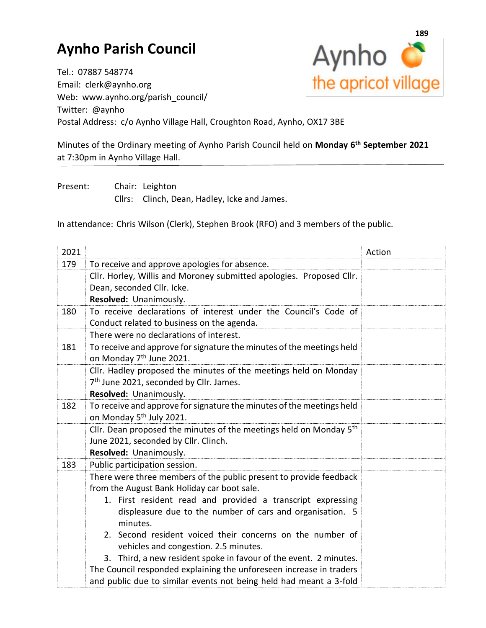## **Aynho Parish Council**



Tel.: 07887 548774 Email: clerk@aynho.org Web: www.aynho.org/parish\_council/ Twitter: @aynho Postal Address: c/o Aynho Village Hall, Croughton Road, Aynho, OX17 3BE

Minutes of the Ordinary meeting of Aynho Parish Council held on **Monday 6 th September 2021** at 7:30pm in Aynho Village Hall.

Present: Chair: Leighton Cllrs: Clinch, Dean, Hadley, Icke and James.

In attendance: Chris Wilson (Clerk), Stephen Brook (RFO) and 3 members of the public.

| 2021 |                                                                                | Action |
|------|--------------------------------------------------------------------------------|--------|
| 179  | To receive and approve apologies for absence.                                  |        |
|      | Cllr. Horley, Willis and Moroney submitted apologies. Proposed Cllr.           |        |
|      | Dean, seconded Cllr. Icke.                                                     |        |
|      | Resolved: Unanimously.                                                         |        |
| 180  | To receive declarations of interest under the Council's Code of                |        |
|      | Conduct related to business on the agenda.                                     |        |
|      | There were no declarations of interest.                                        |        |
| 181  | To receive and approve for signature the minutes of the meetings held          |        |
|      | on Monday 7 <sup>th</sup> June 2021.                                           |        |
|      | Cllr. Hadley proposed the minutes of the meetings held on Monday               |        |
|      | 7 <sup>th</sup> June 2021, seconded by Cllr. James.                            |        |
|      | Resolved: Unanimously.                                                         |        |
| 182  | To receive and approve for signature the minutes of the meetings held          |        |
|      | on Monday 5 <sup>th</sup> July 2021.                                           |        |
|      | Cllr. Dean proposed the minutes of the meetings held on Monday 5 <sup>th</sup> |        |
|      | June 2021, seconded by Cllr. Clinch.                                           |        |
|      | Resolved: Unanimously.                                                         |        |
| 183  | Public participation session.                                                  |        |
|      | There were three members of the public present to provide feedback             |        |
|      | from the August Bank Holiday car boot sale.                                    |        |
|      | 1. First resident read and provided a transcript expressing                    |        |
|      | displeasure due to the number of cars and organisation. 5                      |        |
|      | minutes.                                                                       |        |
|      | 2. Second resident voiced their concerns on the number of                      |        |
|      | vehicles and congestion. 2.5 minutes.                                          |        |
|      | 3. Third, a new resident spoke in favour of the event. 2 minutes.              |        |
|      | The Council responded explaining the unforeseen increase in traders            |        |
|      | and public due to similar events not being held had meant a 3-fold             |        |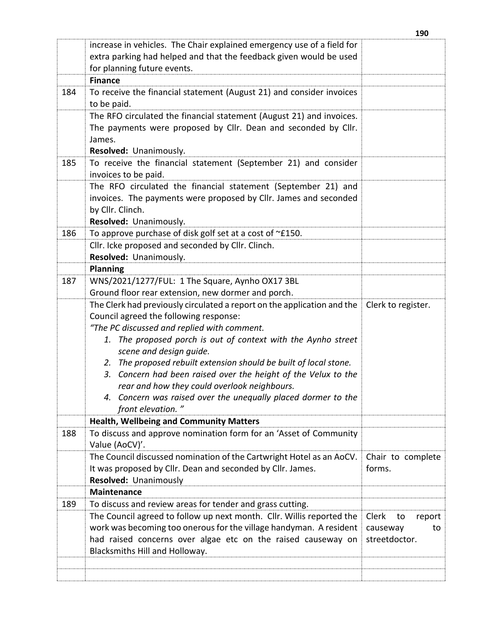|     | increase in vehicles. The Chair explained emergency use of a field for<br>extra parking had helped and that the feedback given would be used<br>for planning future events.<br><b>Finance</b>                                                 |                                                          |
|-----|-----------------------------------------------------------------------------------------------------------------------------------------------------------------------------------------------------------------------------------------------|----------------------------------------------------------|
| 184 | To receive the financial statement (August 21) and consider invoices                                                                                                                                                                          |                                                          |
|     | to be paid.                                                                                                                                                                                                                                   |                                                          |
|     | The RFO circulated the financial statement (August 21) and invoices.<br>The payments were proposed by Cllr. Dean and seconded by Cllr.<br>James.                                                                                              |                                                          |
|     | Resolved: Unanimously.                                                                                                                                                                                                                        |                                                          |
| 185 | To receive the financial statement (September 21) and consider<br>invoices to be paid.                                                                                                                                                        |                                                          |
|     | The RFO circulated the financial statement (September 21) and                                                                                                                                                                                 |                                                          |
|     | invoices. The payments were proposed by Cllr. James and seconded                                                                                                                                                                              |                                                          |
|     | by Cllr. Clinch.                                                                                                                                                                                                                              |                                                          |
|     | Resolved: Unanimously.                                                                                                                                                                                                                        |                                                          |
| 186 | To approve purchase of disk golf set at a cost of ~£150.                                                                                                                                                                                      |                                                          |
|     | Cllr. Icke proposed and seconded by Cllr. Clinch.                                                                                                                                                                                             |                                                          |
|     | Resolved: Unanimously.<br><b>Planning</b>                                                                                                                                                                                                     |                                                          |
| 187 | WNS/2021/1277/FUL: 1 The Square, Aynho OX17 3BL                                                                                                                                                                                               |                                                          |
|     | Ground floor rear extension, new dormer and porch.                                                                                                                                                                                            |                                                          |
|     | The Clerk had previously circulated a report on the application and the                                                                                                                                                                       | Clerk to register.                                       |
|     | Council agreed the following response:                                                                                                                                                                                                        |                                                          |
|     | "The PC discussed and replied with comment.                                                                                                                                                                                                   |                                                          |
|     | 1. The proposed porch is out of context with the Aynho street                                                                                                                                                                                 |                                                          |
|     | scene and design guide.                                                                                                                                                                                                                       |                                                          |
|     | 2. The proposed rebuilt extension should be built of local stone.                                                                                                                                                                             |                                                          |
|     | 3. Concern had been raised over the height of the Velux to the                                                                                                                                                                                |                                                          |
|     | rear and how they could overlook neighbours.                                                                                                                                                                                                  |                                                          |
|     | 4. Concern was raised over the unequally placed dormer to the                                                                                                                                                                                 |                                                          |
|     | front elevation."                                                                                                                                                                                                                             |                                                          |
|     | <b>Health, Wellbeing and Community Matters</b>                                                                                                                                                                                                |                                                          |
| 188 | To discuss and approve nomination form for an 'Asset of Community<br>Value (AoCV)'.                                                                                                                                                           |                                                          |
|     | The Council discussed nomination of the Cartwright Hotel as an AoCV.                                                                                                                                                                          | Chair to complete                                        |
|     | It was proposed by Cllr. Dean and seconded by Cllr. James.                                                                                                                                                                                    | forms.                                                   |
|     | Resolved: Unanimously                                                                                                                                                                                                                         |                                                          |
|     | <b>Maintenance</b>                                                                                                                                                                                                                            |                                                          |
| 189 | To discuss and review areas for tender and grass cutting.                                                                                                                                                                                     |                                                          |
|     | The Council agreed to follow up next month. Cllr. Willis reported the<br>work was becoming too onerous for the village handyman. A resident<br>had raised concerns over algae etc on the raised causeway on<br>Blacksmiths Hill and Holloway. | Clerk<br>to<br>report<br>causeway<br>to<br>streetdoctor. |
|     |                                                                                                                                                                                                                                               |                                                          |
|     |                                                                                                                                                                                                                                               |                                                          |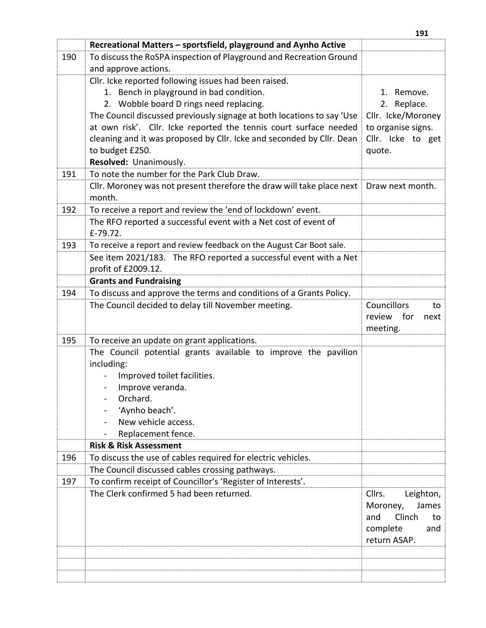|     | Recreational Matters - sportsfield, playground and Aynho Active                 |                                                                                                    |
|-----|---------------------------------------------------------------------------------|----------------------------------------------------------------------------------------------------|
| 190 | To discuss the RoSPA inspection of Playground and Recreation Ground             |                                                                                                    |
|     | and approve actions.                                                            |                                                                                                    |
|     | Cllr. Icke reported following issues had been raised.                           |                                                                                                    |
|     | 1. Bench in playground in bad condition.                                        | 1. Remove.                                                                                         |
|     | 2. Wobble board D rings need replacing.                                         | Replace.<br>2.                                                                                     |
|     | The Council discussed previously signage at both locations to say 'Use          | Cllr. Icke/Moroney                                                                                 |
|     | at own risk'. Cllr. Icke reported the tennis court surface needed               | to organise signs.                                                                                 |
|     | cleaning and it was proposed by Cllr. Icke and seconded by Cllr. Dean           | Cllr. Icke to get                                                                                  |
|     | to budget £250.                                                                 | quote.                                                                                             |
|     | Resolved: Unanimously.                                                          |                                                                                                    |
| 191 | To note the number for the Park Club Draw.                                      |                                                                                                    |
|     | Cllr. Moroney was not present therefore the draw will take place next<br>month. | Draw next month.                                                                                   |
| 192 | To receive a report and review the 'end of lockdown' event.                     |                                                                                                    |
|     | The RFO reported a successful event with a Net cost of event of                 |                                                                                                    |
|     | £-79.72.                                                                        |                                                                                                    |
| 193 | To receive a report and review feedback on the August Car Boot sale.            |                                                                                                    |
|     | See item 2021/183. The RFO reported a successful event with a Net               |                                                                                                    |
|     | profit of £2009.12.                                                             |                                                                                                    |
|     | <b>Grants and Fundraising</b>                                                   |                                                                                                    |
| 194 | To discuss and approve the terms and conditions of a Grants Policy.             |                                                                                                    |
|     | The Council decided to delay till November meeting.                             | <b>Councillors</b><br>to<br>review for<br>next<br>meeting.                                         |
| 195 | To receive an update on grant applications.                                     |                                                                                                    |
|     | The Council potential grants available to improve the pavilion                  |                                                                                                    |
|     | including:                                                                      |                                                                                                    |
|     | Improved toilet facilities.                                                     |                                                                                                    |
|     | Improve veranda.                                                                |                                                                                                    |
|     | Orchard.                                                                        |                                                                                                    |
|     | 'Aynho beach'.                                                                  |                                                                                                    |
|     | New vehicle access.                                                             |                                                                                                    |
|     | Replacement fence.                                                              |                                                                                                    |
|     | <b>Risk &amp; Risk Assessment</b>                                               |                                                                                                    |
| 196 | To discuss the use of cables required for electric vehicles.                    |                                                                                                    |
|     | The Council discussed cables crossing pathways.                                 |                                                                                                    |
| 197 | To confirm receipt of Councillor's 'Register of Interests'.                     |                                                                                                    |
|     | The Clerk confirmed 5 had been returned.                                        | Cllrs.<br>Leighton,<br>Moroney,<br>James<br>Clinch<br>and<br>to<br>complete<br>and<br>return ASAP. |
|     |                                                                                 |                                                                                                    |